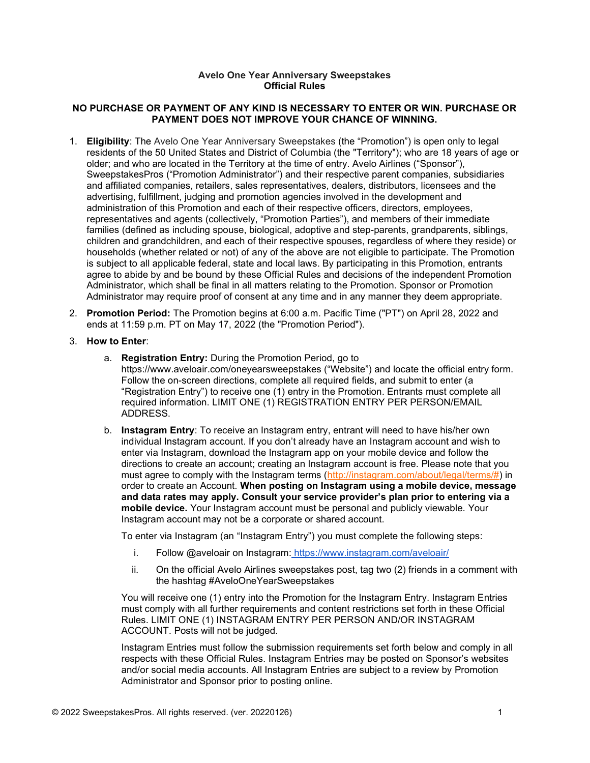## Avelo One Year Anniversary Sweepstakes Official Rules

## NO PURCHASE OR PAYMENT OF ANY KIND IS NECESSARY TO ENTER OR WIN. PURCHASE OR PAYMENT DOES NOT IMPROVE YOUR CHANCE OF WINNING.

- 1. Eligibility: The Avelo One Year Anniversary Sweepstakes (the "Promotion") is open only to legal residents of the 50 United States and District of Columbia (the "Territory"); who are 18 years of age or older; and who are located in the Territory at the time of entry. Avelo Airlines ("Sponsor"), SweepstakesPros ("Promotion Administrator") and their respective parent companies, subsidiaries and affiliated companies, retailers, sales representatives, dealers, distributors, licensees and the advertising, fulfillment, judging and promotion agencies involved in the development and administration of this Promotion and each of their respective officers, directors, employees, representatives and agents (collectively, "Promotion Parties"), and members of their immediate families (defined as including spouse, biological, adoptive and step-parents, grandparents, siblings, children and grandchildren, and each of their respective spouses, regardless of where they reside) or households (whether related or not) of any of the above are not eligible to participate. The Promotion is subject to all applicable federal, state and local laws. By participating in this Promotion, entrants agree to abide by and be bound by these Official Rules and decisions of the independent Promotion Administrator, which shall be final in all matters relating to the Promotion. Sponsor or Promotion Administrator may require proof of consent at any time and in any manner they deem appropriate.
- 2. Promotion Period: The Promotion begins at 6:00 a.m. Pacific Time ("PT") on April 28, 2022 and ends at 11:59 p.m. PT on May 17, 2022 (the "Promotion Period").
- 3. How to Enter:
	- a. Registration Entry: During the Promotion Period, go to https://www.aveloair.com/oneyearsweepstakes ("Website") and locate the official entry form. Follow the on-screen directions, complete all required fields, and submit to enter (a "Registration Entry") to receive one (1) entry in the Promotion. Entrants must complete all required information. LIMIT ONE (1) REGISTRATION ENTRY PER PERSON/EMAIL ADDRESS.
	- b. Instagram Entry: To receive an Instagram entry, entrant will need to have his/her own individual Instagram account. If you don't already have an Instagram account and wish to enter via Instagram, download the Instagram app on your mobile device and follow the directions to create an account; creating an Instagram account is free. Please note that you must agree to comply with the Instagram terms (http://instagram.com/about/legal/terms/#) in order to create an Account. When posting on Instagram using a mobile device, message and data rates may apply. Consult your service provider's plan prior to entering via a mobile device. Your Instagram account must be personal and publicly viewable. Your Instagram account may not be a corporate or shared account.

To enter via Instagram (an "Instagram Entry") you must complete the following steps:

- i. Follow @aveloair on Instagram: https://www.instagram.com/aveloair/
- ii. On the official Avelo Airlines sweepstakes post, tag two (2) friends in a comment with the hashtag #AveloOneYearSweepstakes

You will receive one (1) entry into the Promotion for the Instagram Entry. Instagram Entries must comply with all further requirements and content restrictions set forth in these Official Rules. LIMIT ONE (1) INSTAGRAM ENTRY PER PERSON AND/OR INSTAGRAM ACCOUNT. Posts will not be judged.

Instagram Entries must follow the submission requirements set forth below and comply in all respects with these Official Rules. Instagram Entries may be posted on Sponsor's websites and/or social media accounts. All Instagram Entries are subject to a review by Promotion Administrator and Sponsor prior to posting online.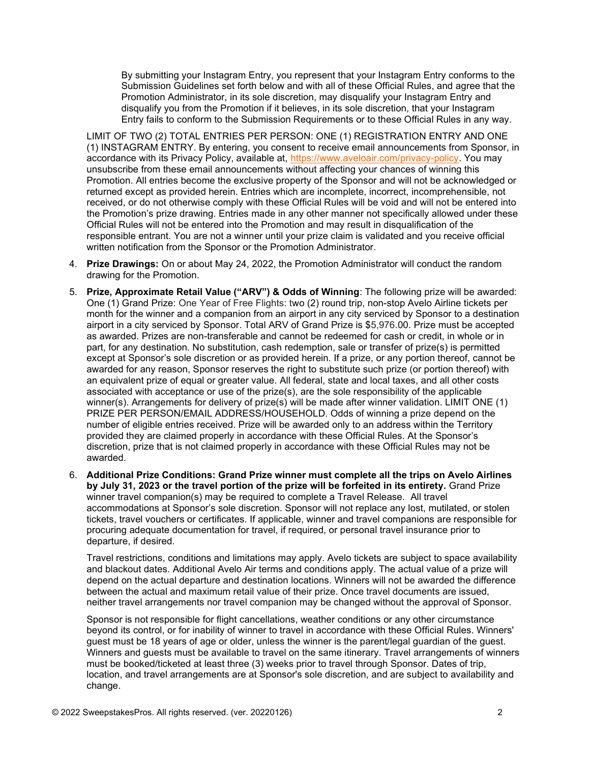By submitting your Instagram Entry, you represent that your Instagram Entry conforms to the Submission Guidelines set forth below and with all of these Official Rules, and agree that the Promotion Administrator, in its sole discretion, may disqualify your Instagram Entry and disqualify you from the Promotion if it believes, in its sole discretion, that your Instagram Entry fails to conform to the Submission Requirements or to these Official Rules in any way.

LIMIT OF TWO (2) TOTAL ENTRIES PER PERSON: ONE (1) REGISTRATION ENTRY AND ONE (1) INSTAGRAM ENTRY. By entering, you consent to receive email announcements from Sponsor, in accordance with its Privacy Policy, available at, https://www.aveloair.com/privacy-policy. You may unsubscribe from these email announcements without affecting your chances of winning this Promotion. All entries become the exclusive property of the Sponsor and will not be acknowledged or returned except as provided herein. Entries which are incomplete, incorrect, incomprehensible, not received, or do not otherwise comply with these Official Rules will be void and will not be entered into the Promotion's prize drawing. Entries made in any other manner not specifically allowed under these Official Rules will not be entered into the Promotion and may result in disqualification of the responsible entrant. You are not a winner until your prize claim is validated and you receive official written notification from the Sponsor or the Promotion Administrator.

- 4. Prize Drawings: On or about May 24, 2022, the Promotion Administrator will conduct the random drawing for the Promotion.
- 5. Prize, Approximate Retail Value ("ARV") & Odds of Winning: The following prize will be awarded: One (1) Grand Prize: One Year of Free Flights: two (2) round trip, non-stop Avelo Airline tickets per month for the winner and a companion from an airport in any city serviced by Sponsor to a destination airport in a city serviced by Sponsor. Total ARV of Grand Prize is \$5,976.00. Prize must be accepted as awarded. Prizes are non-transferable and cannot be redeemed for cash or credit, in whole or in part, for any destination. No substitution, cash redemption, sale or transfer of prize(s) is permitted except at Sponsor's sole discretion or as provided herein. If a prize, or any portion thereof, cannot be awarded for any reason, Sponsor reserves the right to substitute such prize (or portion thereof) with an equivalent prize of equal or greater value. All federal, state and local taxes, and all other costs associated with acceptance or use of the prize(s), are the sole responsibility of the applicable winner(s). Arrangements for delivery of prize(s) will be made after winner validation. LIMIT ONE (1) PRIZE PER PERSON/EMAIL ADDRESS/HOUSEHOLD. Odds of winning a prize depend on the number of eligible entries received. Prize will be awarded only to an address within the Territory provided they are claimed properly in accordance with these Official Rules. At the Sponsor's discretion, prize that is not claimed properly in accordance with these Official Rules may not be awarded.
- 6. Additional Prize Conditions: Grand Prize winner must complete all the trips on Avelo Airlines by July 31, 2023 or the travel portion of the prize will be forfeited in its entirety. Grand Prize winner travel companion(s) may be required to complete a Travel Release. All travel accommodations at Sponsor's sole discretion. Sponsor will not replace any lost, mutilated, or stolen tickets, travel vouchers or certificates. If applicable, winner and travel companions are responsible for procuring adequate documentation for travel, if required, or personal travel insurance prior to departure, if desired.

Travel restrictions, conditions and limitations may apply. Avelo tickets are subject to space availability and blackout dates. Additional Avelo Air terms and conditions apply. The actual value of a prize will depend on the actual departure and destination locations. Winners will not be awarded the difference between the actual and maximum retail value of their prize. Once travel documents are issued, neither travel arrangements nor travel companion may be changed without the approval of Sponsor.

Sponsor is not responsible for flight cancellations, weather conditions or any other circumstance beyond its control, or for inability of winner to travel in accordance with these Official Rules. Winners' guest must be 18 years of age or older, unless the winner is the parent/legal guardian of the guest. Winners and guests must be available to travel on the same itinerary. Travel arrangements of winners must be booked/ticketed at least three (3) weeks prior to travel through Sponsor. Dates of trip, location, and travel arrangements are at Sponsor's sole discretion, and are subject to availability and change.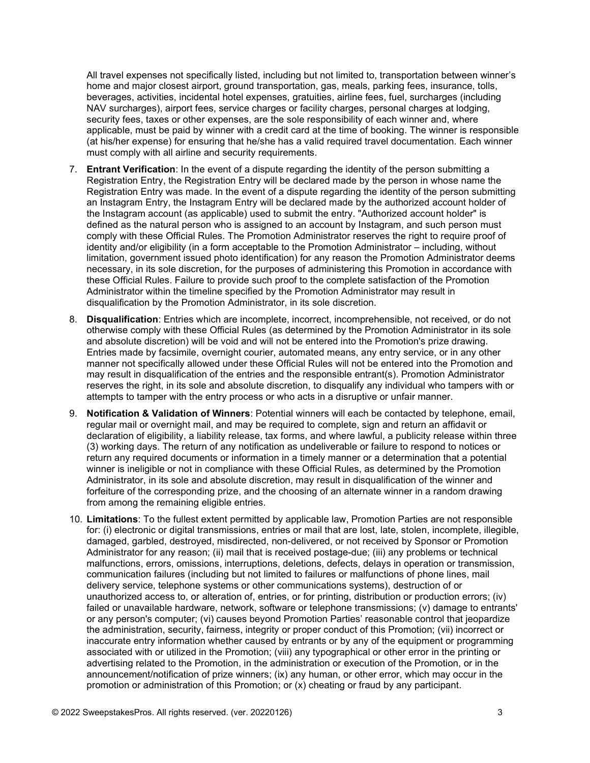All travel expenses not specifically listed, including but not limited to, transportation between winner's home and major closest airport, ground transportation, gas, meals, parking fees, insurance, tolls, beverages, activities, incidental hotel expenses, gratuities, airline fees, fuel, surcharges (including NAV surcharges), airport fees, service charges or facility charges, personal charges at lodging, security fees, taxes or other expenses, are the sole responsibility of each winner and, where applicable, must be paid by winner with a credit card at the time of booking. The winner is responsible (at his/her expense) for ensuring that he/she has a valid required travel documentation. Each winner must comply with all airline and security requirements.

- 7. Entrant Verification: In the event of a dispute regarding the identity of the person submitting a Registration Entry, the Registration Entry will be declared made by the person in whose name the Registration Entry was made. In the event of a dispute regarding the identity of the person submitting an Instagram Entry, the Instagram Entry will be declared made by the authorized account holder of the Instagram account (as applicable) used to submit the entry. "Authorized account holder" is defined as the natural person who is assigned to an account by Instagram, and such person must comply with these Official Rules. The Promotion Administrator reserves the right to require proof of identity and/or eligibility (in a form acceptable to the Promotion Administrator – including, without limitation, government issued photo identification) for any reason the Promotion Administrator deems necessary, in its sole discretion, for the purposes of administering this Promotion in accordance with these Official Rules. Failure to provide such proof to the complete satisfaction of the Promotion Administrator within the timeline specified by the Promotion Administrator may result in disqualification by the Promotion Administrator, in its sole discretion.
- 8. Disqualification: Entries which are incomplete, incorrect, incomprehensible, not received, or do not otherwise comply with these Official Rules (as determined by the Promotion Administrator in its sole and absolute discretion) will be void and will not be entered into the Promotion's prize drawing. Entries made by facsimile, overnight courier, automated means, any entry service, or in any other manner not specifically allowed under these Official Rules will not be entered into the Promotion and may result in disqualification of the entries and the responsible entrant(s). Promotion Administrator reserves the right, in its sole and absolute discretion, to disqualify any individual who tampers with or attempts to tamper with the entry process or who acts in a disruptive or unfair manner.
- 9. Notification & Validation of Winners: Potential winners will each be contacted by telephone, email, regular mail or overnight mail, and may be required to complete, sign and return an affidavit or declaration of eligibility, a liability release, tax forms, and where lawful, a publicity release within three (3) working days. The return of any notification as undeliverable or failure to respond to notices or return any required documents or information in a timely manner or a determination that a potential winner is ineligible or not in compliance with these Official Rules, as determined by the Promotion Administrator, in its sole and absolute discretion, may result in disqualification of the winner and forfeiture of the corresponding prize, and the choosing of an alternate winner in a random drawing from among the remaining eligible entries.
- 10. Limitations: To the fullest extent permitted by applicable law, Promotion Parties are not responsible for: (i) electronic or digital transmissions, entries or mail that are lost, late, stolen, incomplete, illegible, damaged, garbled, destroyed, misdirected, non-delivered, or not received by Sponsor or Promotion Administrator for any reason; (ii) mail that is received postage-due; (iii) any problems or technical malfunctions, errors, omissions, interruptions, deletions, defects, delays in operation or transmission, communication failures (including but not limited to failures or malfunctions of phone lines, mail delivery service, telephone systems or other communications systems), destruction of or unauthorized access to, or alteration of, entries, or for printing, distribution or production errors; (iv) failed or unavailable hardware, network, software or telephone transmissions; (v) damage to entrants' or any person's computer; (vi) causes beyond Promotion Parties' reasonable control that jeopardize the administration, security, fairness, integrity or proper conduct of this Promotion; (vii) incorrect or inaccurate entry information whether caused by entrants or by any of the equipment or programming associated with or utilized in the Promotion; (viii) any typographical or other error in the printing or advertising related to the Promotion, in the administration or execution of the Promotion, or in the announcement/notification of prize winners; (ix) any human, or other error, which may occur in the promotion or administration of this Promotion; or (x) cheating or fraud by any participant.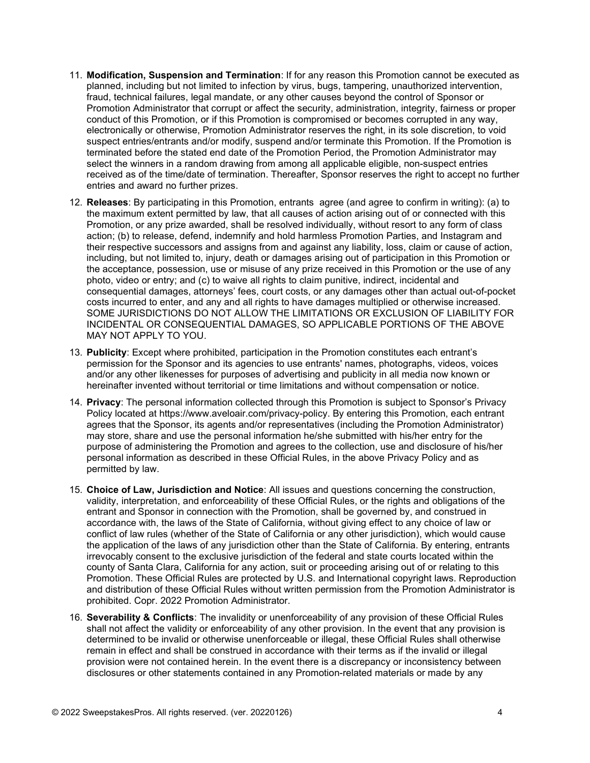- 11. Modification, Suspension and Termination: If for any reason this Promotion cannot be executed as planned, including but not limited to infection by virus, bugs, tampering, unauthorized intervention, fraud, technical failures, legal mandate, or any other causes beyond the control of Sponsor or Promotion Administrator that corrupt or affect the security, administration, integrity, fairness or proper conduct of this Promotion, or if this Promotion is compromised or becomes corrupted in any way, electronically or otherwise, Promotion Administrator reserves the right, in its sole discretion, to void suspect entries/entrants and/or modify, suspend and/or terminate this Promotion. If the Promotion is terminated before the stated end date of the Promotion Period, the Promotion Administrator may select the winners in a random drawing from among all applicable eligible, non-suspect entries received as of the time/date of termination. Thereafter, Sponsor reserves the right to accept no further entries and award no further prizes.
- 12. Releases: By participating in this Promotion, entrants agree (and agree to confirm in writing): (a) to the maximum extent permitted by law, that all causes of action arising out of or connected with this Promotion, or any prize awarded, shall be resolved individually, without resort to any form of class action; (b) to release, defend, indemnify and hold harmless Promotion Parties, and Instagram and their respective successors and assigns from and against any liability, loss, claim or cause of action, including, but not limited to, injury, death or damages arising out of participation in this Promotion or the acceptance, possession, use or misuse of any prize received in this Promotion or the use of any photo, video or entry; and (c) to waive all rights to claim punitive, indirect, incidental and consequential damages, attorneys' fees, court costs, or any damages other than actual out-of-pocket costs incurred to enter, and any and all rights to have damages multiplied or otherwise increased. SOME JURISDICTIONS DO NOT ALLOW THE LIMITATIONS OR EXCLUSION OF LIABILITY FOR INCIDENTAL OR CONSEQUENTIAL DAMAGES, SO APPLICABLE PORTIONS OF THE ABOVE MAY NOT APPLY TO YOU.
- 13. Publicity: Except where prohibited, participation in the Promotion constitutes each entrant's permission for the Sponsor and its agencies to use entrants' names, photographs, videos, voices and/or any other likenesses for purposes of advertising and publicity in all media now known or hereinafter invented without territorial or time limitations and without compensation or notice.
- 14. Privacy: The personal information collected through this Promotion is subject to Sponsor's Privacy Policy located at https://www.aveloair.com/privacy-policy. By entering this Promotion, each entrant agrees that the Sponsor, its agents and/or representatives (including the Promotion Administrator) may store, share and use the personal information he/she submitted with his/her entry for the purpose of administering the Promotion and agrees to the collection, use and disclosure of his/her personal information as described in these Official Rules, in the above Privacy Policy and as permitted by law.
- 15. Choice of Law, Jurisdiction and Notice: All issues and questions concerning the construction, validity, interpretation, and enforceability of these Official Rules, or the rights and obligations of the entrant and Sponsor in connection with the Promotion, shall be governed by, and construed in accordance with, the laws of the State of California, without giving effect to any choice of law or conflict of law rules (whether of the State of California or any other jurisdiction), which would cause the application of the laws of any jurisdiction other than the State of California. By entering, entrants irrevocably consent to the exclusive jurisdiction of the federal and state courts located within the county of Santa Clara, California for any action, suit or proceeding arising out of or relating to this Promotion. These Official Rules are protected by U.S. and International copyright laws. Reproduction and distribution of these Official Rules without written permission from the Promotion Administrator is prohibited. Copr. 2022 Promotion Administrator.
- 16. Severability & Conflicts: The invalidity or unenforceability of any provision of these Official Rules shall not affect the validity or enforceability of any other provision. In the event that any provision is determined to be invalid or otherwise unenforceable or illegal, these Official Rules shall otherwise remain in effect and shall be construed in accordance with their terms as if the invalid or illegal provision were not contained herein. In the event there is a discrepancy or inconsistency between disclosures or other statements contained in any Promotion-related materials or made by any